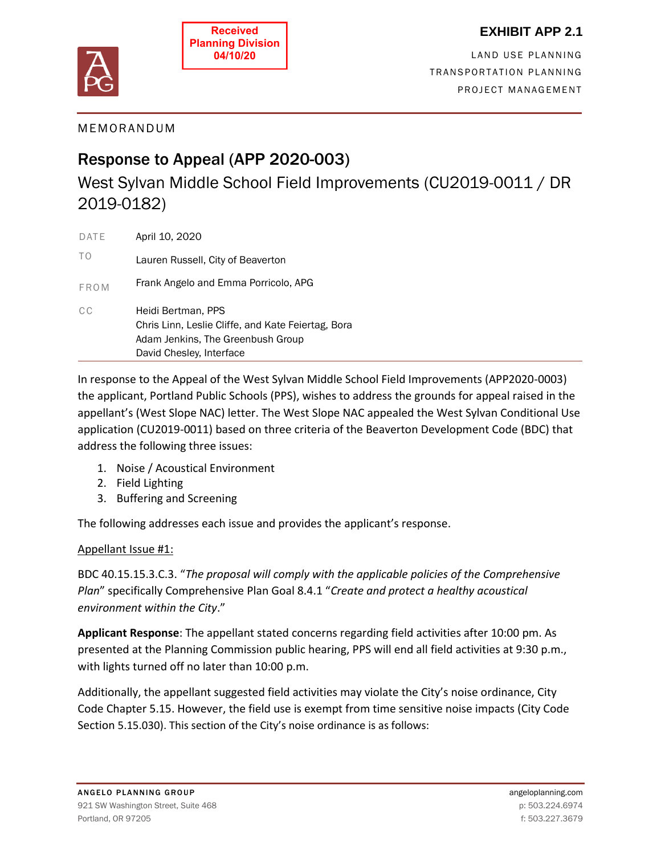

## **EXHIBIT APP 2.1**

LAND USE PLANNING TRANSPORTATION PLANNING PROJECT MANAGEMENT

## M E M O R A ND UM

# Response to Appeal (APP 2020-003)

West Sylvan Middle School Field Improvements (CU2019-0011 / DR 2019-0182)

| DATE        | April 10, 2020                                                                                                                            |
|-------------|-------------------------------------------------------------------------------------------------------------------------------------------|
| TΟ          | Lauren Russell, City of Beaverton                                                                                                         |
| <b>FROM</b> | Frank Angelo and Emma Porricolo, APG                                                                                                      |
| C C         | Heidi Bertman, PPS<br>Chris Linn, Leslie Cliffe, and Kate Feiertag, Bora<br>Adam Jenkins, The Greenbush Group<br>David Chesley, Interface |

In response to the Appeal of the West Sylvan Middle School Field Improvements (APP2020-0003) the applicant, Portland Public Schools (PPS), wishes to address the grounds for appeal raised in the appellant's (West Slope NAC) letter. The West Slope NAC appealed the West Sylvan Conditional Use application (CU2019-0011) based on three criteria of the Beaverton Development Code (BDC) that address the following three issues:

- 1. Noise / Acoustical Environment
- 2. Field Lighting
- 3. Buffering and Screening

The following addresses each issue and provides the applicant's response.

#### Appellant Issue #1:

BDC 40.15.15.3.C.3. "*The proposal will comply with the applicable policies of the Comprehensive Plan*" specifically Comprehensive Plan Goal 8.4.1 "*Create and protect a healthy acoustical environment within the City*."

**Applicant Response**: The appellant stated concerns regarding field activities after 10:00 pm. As presented at the Planning Commission public hearing, PPS will end all field activities at 9:30 p.m., with lights turned off no later than 10:00 p.m.

Additionally, the appellant suggested field activities may violate the City's noise ordinance, City Code Chapter 5.15. However, the field use is exempt from time sensitive noise impacts (City Code Section 5.15.030). This section of the City's noise ordinance is as follows: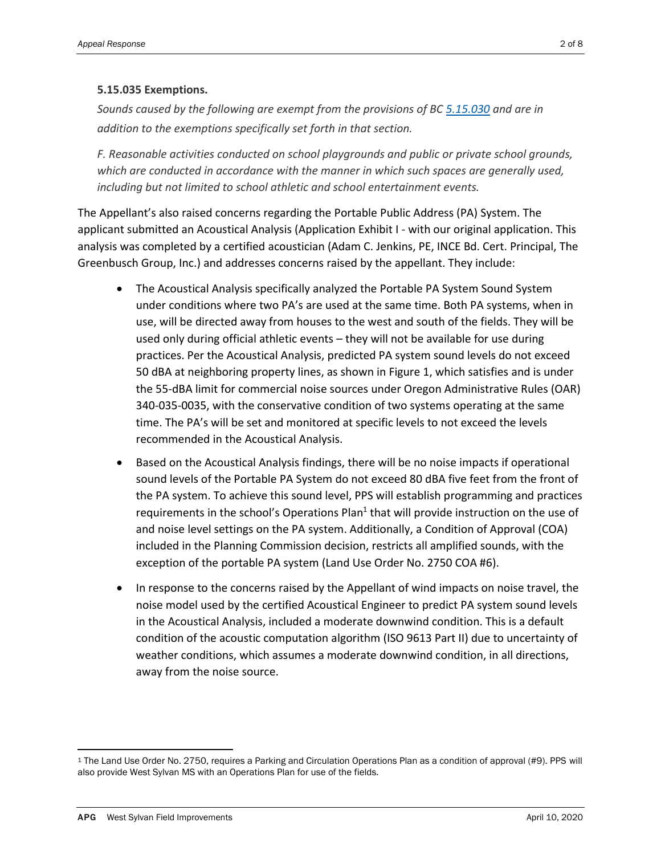#### **5.15.035 Exemptions.**

*Sounds caused by the following are exempt from the provisions of BC [5.15.030](https://www.codepublishing.com/OR/Beaverton/#!/Beaverton05/Beaverton0515.html#5.15.030) and are in addition to the exemptions specifically set forth in that section.*

*F. Reasonable activities conducted on school playgrounds and public or private school grounds, which are conducted in accordance with the manner in which such spaces are generally used, including but not limited to school athletic and school entertainment events.*

The Appellant's also raised concerns regarding the Portable Public Address (PA) System. The applicant submitted an Acoustical Analysis (Application Exhibit I - with our original application. This analysis was completed by a certified acoustician (Adam C. Jenkins, PE, INCE Bd. Cert. Principal, The Greenbusch Group, Inc.) and addresses concerns raised by the appellant. They include:

- The Acoustical Analysis specifically analyzed the Portable PA System Sound System under conditions where two PA's are used at the same time. Both PA systems, when in use, will be directed away from houses to the west and south of the fields. They will be used only during official athletic events – they will not be available for use during practices. Per the Acoustical Analysis, predicted PA system sound levels do not exceed 50 dBA at neighboring property lines, as shown in Figure 1, which satisfies and is under the 55-dBA limit for commercial noise sources under Oregon Administrative Rules (OAR) 340-035-0035, with the conservative condition of two systems operating at the same time. The PA's will be set and monitored at specific levels to not exceed the levels recommended in the Acoustical Analysis.
- Based on the Acoustical Analysis findings, there will be no noise impacts if operational sound levels of the Portable PA System do not exceed 80 dBA five feet from the front of the PA system. To achieve this sound level, PPS will establish programming and practices requirements in the school's Operations Plan<sup>1</sup> that will provide instruction on the use of and noise level settings on the PA system. Additionally, a Condition of Approval (COA) included in the Planning Commission decision, restricts all amplified sounds, with the exception of the portable PA system (Land Use Order No. 2750 COA #6).
- In response to the concerns raised by the Appellant of wind impacts on noise travel, the noise model used by the certified Acoustical Engineer to predict PA system sound levels in the Acoustical Analysis, included a moderate downwind condition. This is a default condition of the acoustic computation algorithm (ISO 9613 Part II) due to uncertainty of weather conditions, which assumes a moderate downwind condition, in all directions, away from the noise source.

<sup>1</sup> The Land Use Order No. 2750, requires a Parking and Circulation Operations Plan as a condition of approval (#9). PPS will also provide West Sylvan MS with an Operations Plan for use of the fields.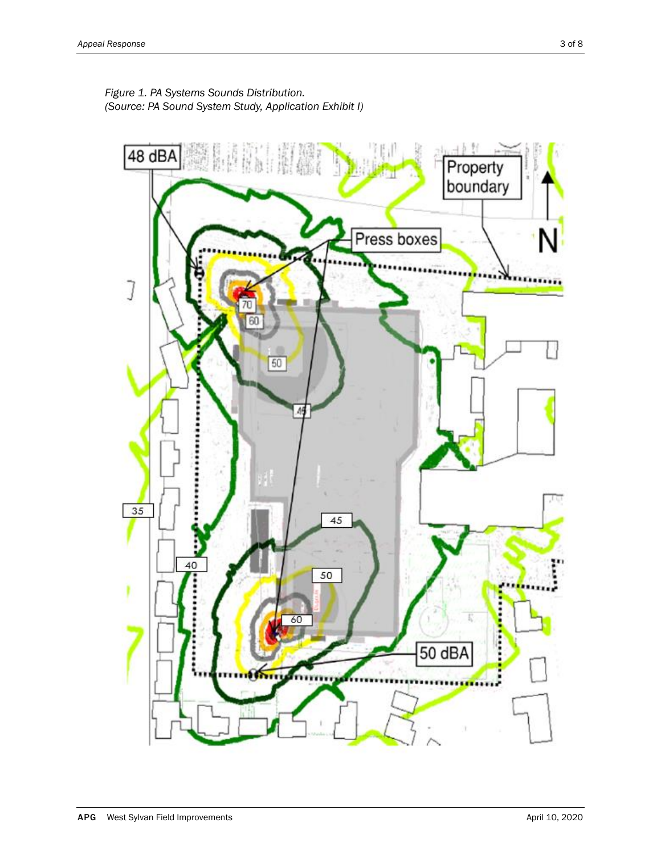

*Figure 1. PA Systems Sounds Distribution. (Source: PA Sound System Study, Application Exhibit I)*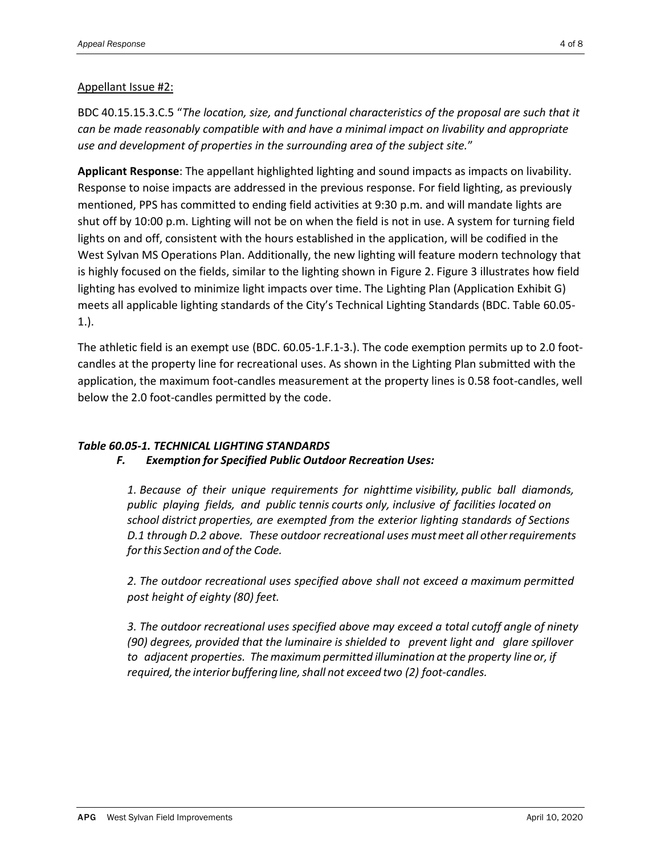#### Appellant Issue #2:

BDC 40.15.15.3.C.5 "*The location, size, and functional characteristics of the proposal are such that it can be made reasonably compatible with and have a minimal impact on livability and appropriate use and development of properties in the surrounding area of the subject site.*"

**Applicant Response**: The appellant highlighted lighting and sound impacts as impacts on livability. Response to noise impacts are addressed in the previous response. For field lighting, as previously mentioned, PPS has committed to ending field activities at 9:30 p.m. and will mandate lights are shut off by 10:00 p.m. Lighting will not be on when the field is not in use. A system for turning field lights on and off, consistent with the hours established in the application, will be codified in the West Sylvan MS Operations Plan. Additionally, the new lighting will feature modern technology that is highly focused on the fields, similar to the lighting shown in Figure 2. Figure 3 illustrates how field lighting has evolved to minimize light impacts over time. The Lighting Plan (Application Exhibit G) meets all applicable lighting standards of the City's Technical Lighting Standards (BDC. Table 60.05- 1.).

The athletic field is an exempt use (BDC. 60.05-1.F.1-3.). The code exemption permits up to 2.0 footcandles at the property line for recreational uses. As shown in the Lighting Plan submitted with the application, the maximum foot-candles measurement at the property lines is 0.58 foot-candles, well below the 2.0 foot-candles permitted by the code.

### *Table 60.05-1. TECHNICAL LIGHTING STANDARDS F. Exemption for Specified Public Outdoor Recreation Uses:*

*1. Because of their unique requirements for nighttime visibility, public ball diamonds, public playing fields, and public tennis courts only, inclusive of facilities located on school district properties, are exempted from the exterior lighting standards of Sections D.1 through D.2 above. These outdoor recreational uses mustmeet all otherrequirements forthis Section and ofthe Code.*

*2. The outdoor recreational uses specified above shall not exceed a maximum permitted post height of eighty (80) feet.*

*3. The outdoor recreational uses specified above may exceed a total cutoff angle of ninety (90) degrees, provided that the luminaire is shielded to prevent light and glare spillover to adjacent properties. Themaximum permitted illumination atthe property line or, if required, the interior buffering line, shall not exceed two (2) foot-candles.*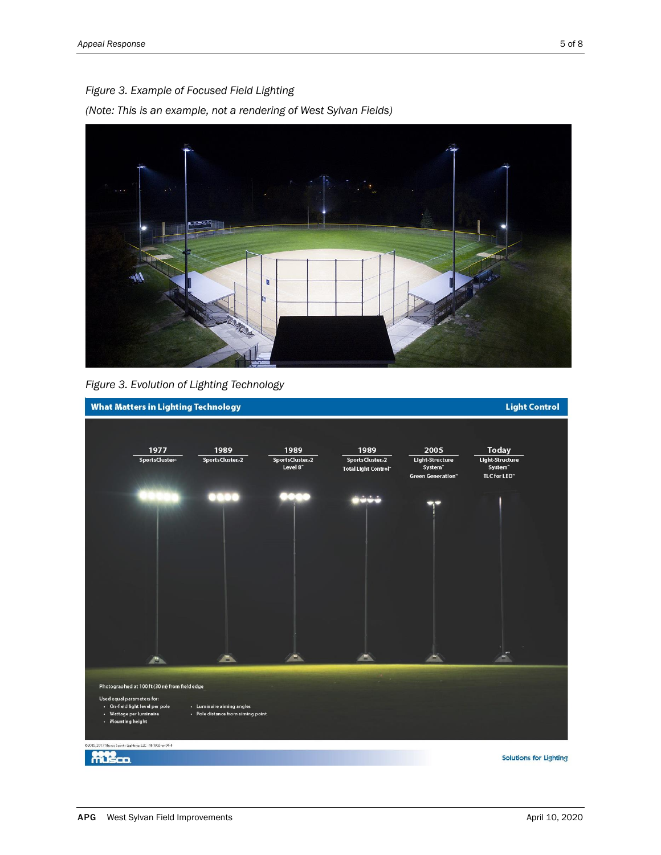

*Figure 3. Evolution of Lighting Technology* 

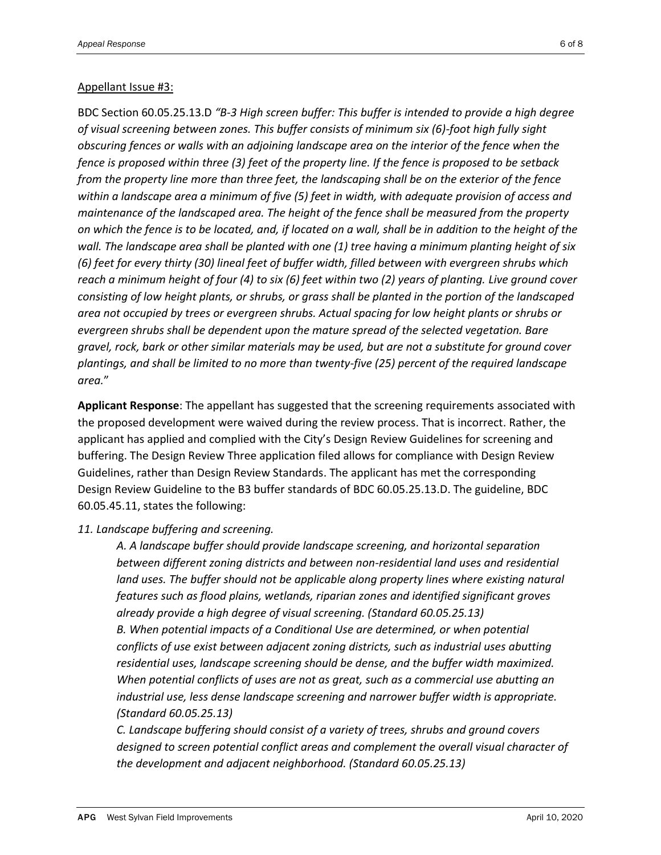#### Appellant Issue #3:

BDC Section 60.05.25.13.D *"B-3 High screen buffer: This buffer is intended to provide a high degree of visual screening between zones. This buffer consists of minimum six (6)-foot high fully sight obscuring fences or walls with an adjoining landscape area on the interior of the fence when the fence is proposed within three (3) feet of the property line. If the fence is proposed to be setback from the property line more than three feet, the landscaping shall be on the exterior of the fence within a landscape area a minimum of five (5) feet in width, with adequate provision of access and maintenance of the landscaped area. The height of the fence shall be measured from the property on which the fence is to be located, and, if located on a wall, shall be in addition to the height of the wall. The landscape area shall be planted with one (1) tree having a minimum planting height of six (6) feet for every thirty (30) lineal feet of buffer width, filled between with evergreen shrubs which reach a minimum height of four (4) to six (6) feet within two (2) years of planting. Live ground cover consisting of low height plants, or shrubs, or grass shall be planted in the portion of the landscaped area not occupied by trees or evergreen shrubs. Actual spacing for low height plants or shrubs or evergreen shrubs shall be dependent upon the mature spread of the selected vegetation. Bare gravel, rock, bark or other similar materials may be used, but are not a substitute for ground cover plantings, and shall be limited to no more than twenty-five (25) percent of the required landscape area.*"

**Applicant Response**: The appellant has suggested that the screening requirements associated with the proposed development were waived during the review process. That is incorrect. Rather, the applicant has applied and complied with the City's Design Review Guidelines for screening and buffering. The Design Review Three application filed allows for compliance with Design Review Guidelines, rather than Design Review Standards. The applicant has met the corresponding Design Review Guideline to the B3 buffer standards of BDC 60.05.25.13.D. The guideline, BDC 60.05.45.11, states the following:

#### *11. Landscape buffering and screening.*

*A. A landscape buffer should provide landscape screening, and horizontal separation between different zoning districts and between non-residential land uses and residential land uses. The buffer should not be applicable along property lines where existing natural features such as flood plains, wetlands, riparian zones and identified significant groves already provide a high degree of visual screening. (Standard 60.05.25.13) B. When potential impacts of a Conditional Use are determined, or when potential conflicts of use exist between adjacent zoning districts, such as industrial uses abutting residential uses, landscape screening should be dense, and the buffer width maximized. When potential conflicts of uses are not as great, such as a commercial use abutting an industrial use, less dense landscape screening and narrower buffer width is appropriate. (Standard 60.05.25.13)* 

*C. Landscape buffering should consist of a variety of trees, shrubs and ground covers designed to screen potential conflict areas and complement the overall visual character of the development and adjacent neighborhood. (Standard 60.05.25.13)*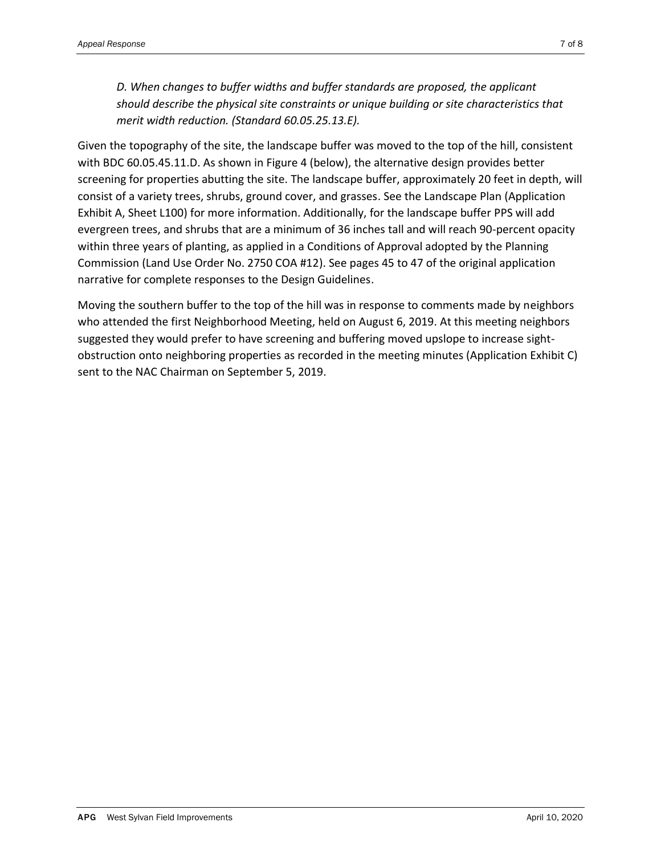*D. When changes to buffer widths and buffer standards are proposed, the applicant should describe the physical site constraints or unique building or site characteristics that merit width reduction. (Standard 60.05.25.13.E).* 

Given the topography of the site, the landscape buffer was moved to the top of the hill, consistent with BDC 60.05.45.11.D. As shown in Figure 4 (below), the alternative design provides better screening for properties abutting the site. The landscape buffer, approximately 20 feet in depth, will consist of a variety trees, shrubs, ground cover, and grasses. See the Landscape Plan (Application Exhibit A, Sheet L100) for more information. Additionally, for the landscape buffer PPS will add evergreen trees, and shrubs that are a minimum of 36 inches tall and will reach 90-percent opacity within three years of planting, as applied in a Conditions of Approval adopted by the Planning Commission (Land Use Order No. 2750 COA #12). See pages 45 to 47 of the original application narrative for complete responses to the Design Guidelines.

Moving the southern buffer to the top of the hill was in response to comments made by neighbors who attended the first Neighborhood Meeting, held on August 6, 2019. At this meeting neighbors suggested they would prefer to have screening and buffering moved upslope to increase sightobstruction onto neighboring properties as recorded in the meeting minutes (Application Exhibit C) sent to the NAC Chairman on September 5, 2019.